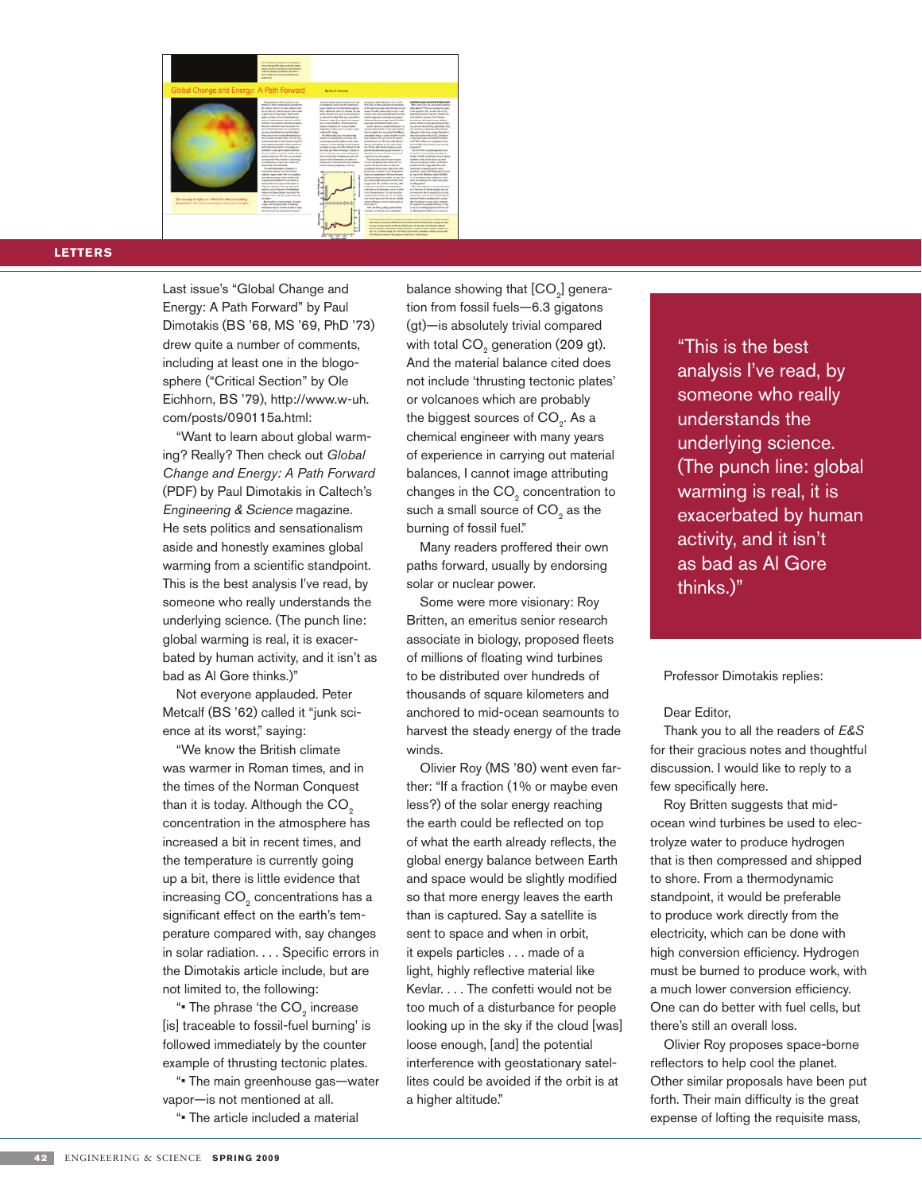

## **Letters**

Last issue's "Global Change and Energy: A Path Forward" by Paul Dimotakis (BS '68, MS '69, PhD '73) drew quite a number of comments, including at least one in the blogosphere ("Critical Section" by Ole Eichhorn, BS '79), http://www.w-uh. com/posts/090115a.html:

"Want to learn about global warming? Really? Then check out *Global Change and Energy: A Path Forward*  (PDF) by Paul Dimotakis in Caltech's Engineering & Science magazine. He sets politics and sensationalism aside and honestly examines global warming from a scientific standpoint. This is the best analysis I've read, by someone who really understands the underlying science. (The punch line: global warming is real, it is exacerbated by human activity, and it isn't as bad as Al Gore thinks.)"

Not everyone applauded. Peter Metcalf (BS '62) called it "junk science at its worst," saying:

"We know the British climate was warmer in Roman times, and in the times of the Norman Conquest than it is today. Although the  $CO<sub>2</sub>$ concentration in the atmosphere has increased a bit in recent times, and the temperature is currently going up a bit, there is little evidence that increasing CO<sub>2</sub> concentrations has a significant effect on the earth's temperature compared with, say changes in solar radiation. . . . Specific errors in the Dimotakis article include, but are not limited to, the following:

" The phrase 'the CO<sub>2</sub> increase [is] traceable to fossil-fuel burning' is followed immediately by the counter example of thrusting tectonic plates.

"• The main greenhouse gas—water vapor—is not mentioned at all.

"• The article included a material

balance showing that [CO<sub>2</sub>] generation from fossil fuels—6.3 gigatons (gt)—is absolutely trivial compared with total CO<sub>2</sub> generation (209 gt). And the material balance cited does not include 'thrusting tectonic plates' or volcanoes which are probably the biggest sources of  $CO<sub>2</sub>$ . As a chemical engineer with many years of experience in carrying out material balances, I cannot image attributing changes in the CO<sub>2</sub> concentration to such a small source of  $CO<sub>2</sub>$  as the burning of fossil fuel."

Many readers proffered their own paths forward, usually by endorsing solar or nuclear power.

Some were more visionary: Roy Britten, an emeritus senior research associate in biology, proposed fleets of millions of floating wind turbines to be distributed over hundreds of thousands of square kilometers and anchored to mid-ocean seamounts to harvest the steady energy of the trade winds.

Olivier Roy (MS '80) went even farther: "If a fraction (1% or maybe even less?) of the solar energy reaching the earth could be reflected on top of what the earth already reflects, the global energy balance between Earth and space would be slightly modified so that more energy leaves the earth than is captured. Say a satellite is sent to space and when in orbit, it expels particles . . . made of a light, highly reflective material like Kevlar. . . . The confetti would not be too much of a disturbance for people looking up in the sky if the cloud [was] loose enough, [and] the potential interference with geostationary satellites could be avoided if the orbit is at a higher altitude."

"This is the best analysis I've read, by someone who really understands the underlying science. (The punch line: global warming is real, it is exacerbated by human activity, and it isn't as bad as Al Gore thinks.)"

## Professor Dimotakis replies:

## Dear Editor,

Thank you to all the readers of *E&S* for their gracious notes and thoughtful discussion. I would like to reply to a few specifically here.

Roy Britten suggests that midocean wind turbines be used to electrolyze water to produce hydrogen that is then compressed and shipped to shore. From a thermodynamic standpoint, it would be preferable to produce work directly from the electricity, which can be done with high conversion efficiency. Hydrogen must be burned to produce work, with a much lower conversion efficiency. One can do better with fuel cells, but there's still an overall loss.

Olivier Roy proposes space-borne reflectors to help cool the planet. Other similar proposals have been put forth. Their main difficulty is the great expense of lofting the requisite mass,